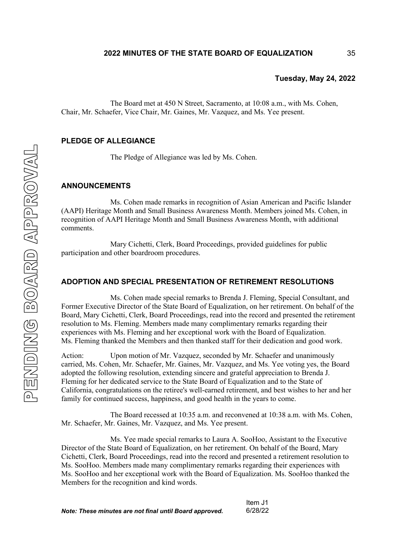The Board met at 450 N Street, Sacramento, at 10:08 a.m., with Ms. Cohen, Chair, Mr. Schaefer, Vice Chair, Mr. Gaines, Mr. Vazquez, and Ms. Yee present.

### **PLEDGE OF ALLEGIANCE**

The Pledge of Allegiance was led by Ms. Cohen.

#### **ANNOUNCEMENTS**

Ms. Cohen made remarks in recognition of Asian American and Pacific Islander (AAPI) Heritage Month and Small Business Awareness Month. Members joined Ms. Cohen, in recognition of AAPI Heritage Month and Small Business Awareness Month, with additional comments.

Mary Cichetti, Clerk, Board Proceedings, provided guidelines for public participation and other boardroom procedures.

# **ADOPTION AND SPECIAL PRESENTATION OF RETIREMENT RESOLUTIONS**

Ms. Cohen made special remarks to Brenda J. Fleming, Special Consultant, and Former Executive Director of the State Board of Equalization, on her retirement. On behalf of the Board, Mary Cichetti, Clerk, Board Proceedings, read into the record and presented the retirement resolution to Ms. Fleming. Members made many complimentary remarks regarding their experiences with Ms. Fleming and her exceptional work with the Board of Equalization. Ms. Fleming thanked the Members and then thanked staff for their dedication and good work.

Action: Upon motion of Mr. Vazquez, seconded by Mr. Schaefer and unanimously carried, Ms. Cohen, Mr. Schaefer, Mr. Gaines, Mr. Vazquez, and Ms. Yee voting yes, the Board adopted the following resolution, extending sincere and grateful appreciation to Brenda J. Fleming for her dedicated service to the State Board of Equalization and to the State of California, congratulations on the retiree's well-earned retirement, and best wishes to her and her family for continued success, happiness, and good health in the years to come.

The Board recessed at 10:35 a.m. and reconvened at 10:38 a.m. with Ms. Cohen, Mr. Schaefer, Mr. Gaines, Mr. Vazquez, and Ms. Yee present.

Ms. Yee made special remarks to Laura A. SooHoo, Assistant to the Executive Director of the State Board of Equalization, on her retirement. On behalf of the Board, Mary Cichetti, Clerk, Board Proceedings, read into the record and presented a retirement resolution to Ms. SooHoo. Members made many complimentary remarks regarding their experiences with Ms. SooHoo and her exceptional work with the Board of Equalization. Ms. SooHoo thanked the Members for the recognition and kind words.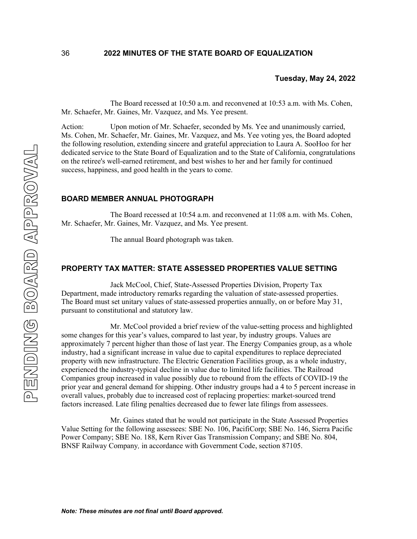The Board recessed at 10:50 a.m. and reconvened at 10:53 a.m. with Ms. Cohen, Mr. Schaefer, Mr. Gaines, Mr. Vazquez, and Ms. Yee present.

Action: Upon motion of Mr. Schaefer, seconded by Ms. Yee and unanimously carried, Ms. Cohen, Mr. Schaefer, Mr. Gaines, Mr. Vazquez, and Ms. Yee voting yes, the Board adopted the following resolution, extending sincere and grateful appreciation to Laura A. SooHoo for her dedicated service to the State Board of Equalization and to the State of California, congratulations on the retiree's well-earned retirement, and best wishes to her and her family for continued success, happiness, and good health in the years to come.

### **BOARD MEMBER ANNUAL PHOTOGRAPH**

The Board recessed at 10:54 a.m. and reconvened at 11:08 a.m. with Ms. Cohen, Mr. Schaefer, Mr. Gaines, Mr. Vazquez, and Ms. Yee present.

The annual Board photograph was taken.

### **PROPERTY TAX MATTER: STATE ASSESSED PROPERTIES VALUE SETTING**

Jack McCool, Chief, State-Assessed Properties Division, Property Tax Department, made introductory remarks regarding the valuation of state-assessed properties. The Board must set unitary values of state-assessed properties annually, on or before May 31, pursuant to constitutional and statutory law.

Mr. McCool provided a brief review of the value-setting process and highlighted some changes for this year's values, compared to last year, by industry groups. Values are approximately 7 percent higher than those of last year. The Energy Companies group, as a whole industry, had a significant increase in value due to capital expenditures to replace depreciated property with new infrastructure. The Electric Generation Facilities group, as a whole industry, experienced the industry-typical decline in value due to limited life facilities. The Railroad Companies group increased in value possibly due to rebound from the effects of COVID-19 the prior year and general demand for shipping. Other industry groups had a 4 to 5 percent increase in overall values, probably due to increased cost of replacing properties: market-sourced trend factors increased. Late filing penalties decreased due to fewer late filings from assessees.

Mr. Gaines stated that he would not participate in the State Assessed Properties Value Setting for the following assessees: SBE No. 106, PacifiCorp; SBE No. 146, Sierra Pacific Power Company; SBE No. 188, Kern River Gas Transmission Company; and SBE No. 804, BNSF Railway Company*,* in accordance with Government Code, section 87105.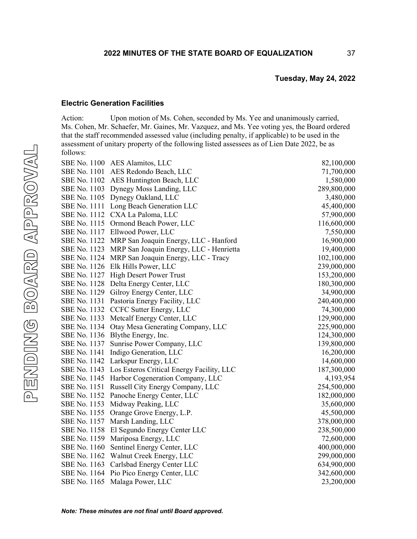### **Electric Generation Facilities**

Action: Upon motion of Ms. Cohen, seconded by Ms. Yee and unanimously carried, Ms. Cohen, Mr. Schaefer, Mr. Gaines, Mr. Vazquez, and Ms. Yee voting yes, the Board ordered that the staff recommended assessed value (including penalty, if applicable) to be used in the assessment of unitary property of the following listed assessees as of Lien Date 2022, be as follows:

|              | SBE No. 1100 AES Alamitos, LLC                         | 82,100,000  |
|--------------|--------------------------------------------------------|-------------|
|              | SBE No. 1101 AES Redondo Beach, LLC                    | 71,700,000  |
|              | SBE No. 1102 AES Huntington Beach, LLC                 | 1,580,000   |
|              | SBE No. 1103 Dynegy Moss Landing, LLC                  | 289,800,000 |
|              | SBE No. 1105 Dynegy Oakland, LLC                       | 3,480,000   |
|              | SBE No. 1111 Long Beach Generation LLC                 | 45,400,000  |
|              | SBE No. 1112 CXA La Paloma, LLC                        | 57,900,000  |
|              | SBE No. 1115 Ormond Beach Power, LLC                   | 116,600,000 |
|              | SBE No. 1117 Ellwood Power, LLC                        | 7,550,000   |
|              | SBE No. 1122 MRP San Joaquin Energy, LLC - Hanford     | 16,900,000  |
|              | SBE No. 1123 MRP San Joaquin Energy, LLC - Henrietta   | 19,400,000  |
|              | SBE No. 1124 MRP San Joaquin Energy, LLC - Tracy       | 102,100,000 |
|              | SBE No. 1126 Elk Hills Power, LLC                      | 239,000,000 |
|              | SBE No. 1127 High Desert Power Trust                   | 153,200,000 |
|              | SBE No. 1128 Delta Energy Center, LLC                  | 180,300,000 |
|              | SBE No. 1129 Gilroy Energy Center, LLC                 | 34,900,000  |
| SBE No. 1131 | Pastoria Energy Facility, LLC                          | 240,400,000 |
|              | SBE No. 1132 CCFC Sutter Energy, LLC                   | 74,300,000  |
| SBE No. 1133 | Metcalf Energy Center, LLC                             | 129,900,000 |
| SBE No. 1134 | Otay Mesa Generating Company, LLC                      | 225,900,000 |
| SBE No. 1136 | Blythe Energy, Inc.                                    | 124,300,000 |
| SBE No. 1137 | Sunrise Power Company, LLC                             | 139,800,000 |
| SBE No. 1141 | Indigo Generation, LLC                                 | 16,200,000  |
| SBE No. 1142 | Larkspur Energy, LLC                                   | 14,600,000  |
|              | SBE No. 1143 Los Esteros Critical Energy Facility, LLC | 187,300,000 |
|              | SBE No. 1145 Harbor Cogeneration Company, LLC          | 4,193,954   |
| SBE No. 1151 | Russell City Energy Company, LLC                       | 254,500,000 |
|              | SBE No. 1152 Panoche Energy Center, LLC                | 182,000,000 |
|              | SBE No. 1153 Midway Peaking, LLC                       | 35,600,000  |
| SBE No. 1155 | Orange Grove Energy, L.P.                              | 45,500,000  |
|              | SBE No. 1157 Marsh Landing, LLC                        | 378,000,000 |
|              | SBE No. 1158 El Segundo Energy Center LLC              | 238,500,000 |
|              | SBE No. 1159 Mariposa Energy, LLC                      | 72,600,000  |
|              | SBE No. 1160 Sentinel Energy Center, LLC               | 400,000,000 |
|              | SBE No. 1162 Walnut Creek Energy, LLC                  | 299,000,000 |
|              | SBE No. 1163 Carlsbad Energy Center LLC                | 634,900,000 |
|              | SBE No. 1164 Pio Pico Energy Center, LLC               | 342,600,000 |
| SBE No. 1165 | Malaga Power, LLC                                      | 23,200,000  |
|              |                                                        |             |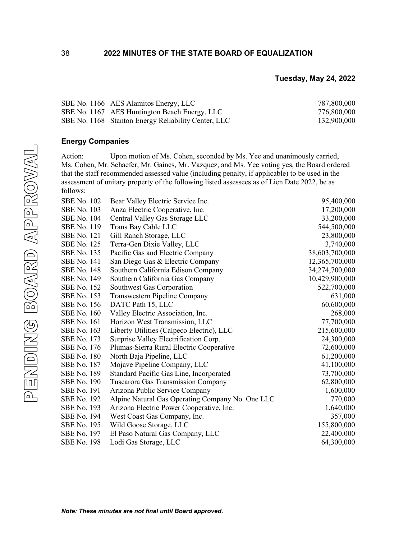| SBE No. 1166 AES Alamitos Energy, LLC               | 787,800,000 |
|-----------------------------------------------------|-------------|
| SBE No. 1167 AES Huntington Beach Energy, LLC       | 776,800,000 |
| SBE No. 1168 Stanton Energy Reliability Center, LLC | 132,900,000 |

# **Energy Companies**

Action: Upon motion of Ms. Cohen, seconded by Ms. Yee and unanimously carried, Ms. Cohen, Mr. Schaefer, Mr. Gaines, Mr. Vazquez, and Ms. Yee voting yes, the Board ordered that the staff recommended assessed value (including penalty, if applicable) to be used in the assessment of unitary property of the following listed assessees as of Lien Date 2022, be as follows:

| <b>SBE No. 102</b> | Bear Valley Electric Service Inc.                | 95,400,000     |
|--------------------|--------------------------------------------------|----------------|
| <b>SBE No. 103</b> | Anza Electric Cooperative, Inc.                  | 17,200,000     |
| <b>SBE No. 104</b> | Central Valley Gas Storage LLC                   | 33,200,000     |
| <b>SBE No. 119</b> | Trans Bay Cable LLC                              | 544,500,000    |
| <b>SBE No. 121</b> | Gill Ranch Storage, LLC                          | 23,800,000     |
| <b>SBE No. 125</b> | Terra-Gen Dixie Valley, LLC                      | 3,740,000      |
| <b>SBE No. 135</b> | Pacific Gas and Electric Company                 | 38,603,700,000 |
| <b>SBE No. 141</b> | San Diego Gas & Electric Company                 | 12,365,700,000 |
| <b>SBE No. 148</b> | Southern California Edison Company               | 34,274,700,000 |
| <b>SBE No. 149</b> | Southern California Gas Company                  | 10,429,900,000 |
| <b>SBE No. 152</b> | Southwest Gas Corporation                        | 522,700,000    |
| <b>SBE No. 153</b> | Transwestern Pipeline Company                    | 631,000        |
| <b>SBE No. 156</b> | DATC Path 15, LLC                                | 60,600,000     |
| <b>SBE</b> No. 160 | Valley Electric Association, Inc.                | 268,000        |
| <b>SBE</b> No. 161 | Horizon West Transmission, LLC                   | 77,700,000     |
| <b>SBE No. 163</b> | Liberty Utilities (Calpeco Electric), LLC        | 215,600,000    |
| SBE No. 173        | Surprise Valley Electrification Corp.            | 24,300,000     |
| <b>SBE No. 176</b> | Plumas-Sierra Rural Electric Cooperative         | 72,600,000     |
| <b>SBE No. 180</b> | North Baja Pipeline, LLC                         | 61,200,000     |
| <b>SBE No. 187</b> | Mojave Pipeline Company, LLC                     | 41,100,000     |
| <b>SBE No. 189</b> | Standard Pacific Gas Line, Incorporated          | 73,700,000     |
| <b>SBE No. 190</b> | <b>Tuscarora Gas Transmission Company</b>        | 62,800,000     |
| <b>SBE No. 191</b> | Arizona Public Service Company                   | 1,600,000      |
| <b>SBE No. 192</b> | Alpine Natural Gas Operating Company No. One LLC | 770,000        |
| <b>SBE No. 193</b> | Arizona Electric Power Cooperative, Inc.         | 1,640,000      |
| <b>SBE No. 194</b> | West Coast Gas Company, Inc.                     | 357,000        |
| <b>SBE No. 195</b> | Wild Goose Storage, LLC                          | 155,800,000    |
| <b>SBE No. 197</b> | El Paso Natural Gas Company, LLC                 | 22,400,000     |
| <b>SBE No. 198</b> | Lodi Gas Storage, LLC                            | 64,300,000     |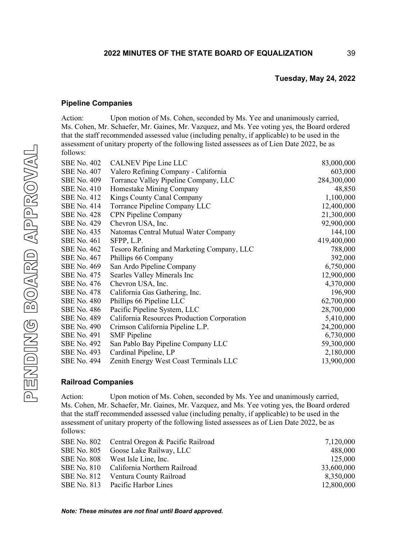39

# **Pipeline Companies**

Action: Upon motion of Ms. Cohen, seconded by Ms. Yee and unanimously carried, Ms. Cohen, Mr. Schaefer, Mr. Gaines, Mr. Vazquez, and Ms. Yee voting yes, the Board ordered that the staff recommended assessed value (including penalty, if applicable) to be used in the assessment of unitary property of the following listed assessees as of Lien Date 2022, be as follows:

| <b>SBE No. 402</b> | <b>CALNEV Pipe Line LLC</b>                 | 83,000,000  |
|--------------------|---------------------------------------------|-------------|
| <b>SBE No. 407</b> | Valero Refining Company - California        | 603,000     |
| <b>SBE No. 409</b> | Torrance Valley Pipeline Company, LLC       | 284,300,000 |
| <b>SBE No. 410</b> | Homestake Mining Company                    | 48,850      |
| <b>SBE No. 412</b> | Kings County Canal Company                  | 1,100,000   |
| <b>SBE No. 414</b> | Torrance Pipeline Company LLC               | 12,400,000  |
| <b>SBE No. 428</b> | <b>CPN Pipeline Company</b>                 | 21,300,000  |
| <b>SBE No. 429</b> | Chevron USA, Inc.                           | 92,900,000  |
| <b>SBE No. 435</b> | Natomas Central Mutual Water Company        | 144,100     |
| <b>SBE No. 461</b> | SFPP, L.P.                                  | 419,400,000 |
| SBE No. 462        | Tesoro Refining and Marketing Company, LLC  | 788,000     |
| <b>SBE No. 467</b> | Phillips 66 Company                         | 392,000     |
| <b>SBE No. 469</b> | San Ardo Pipeline Company                   | 6,750,000   |
| SBE No. 475        | Searles Valley Minerals Inc                 | 12,900,000  |
| <b>SBE No. 476</b> | Chevron USA, Inc.                           | 4,370,000   |
| <b>SBE No. 478</b> | California Gas Gathering, Inc.              | 196,900     |
| <b>SBE No. 480</b> | Phillips 66 Pipeline LLC                    | 62,700,000  |
| <b>SBE No. 486</b> | Pacific Pipeline System, LLC                | 28,700,000  |
| <b>SBE No. 489</b> | California Resources Production Corporation | 5,410,000   |
| <b>SBE No. 490</b> | Crimson California Pipeline L.P.            | 24,200,000  |
| <b>SBE No. 491</b> | <b>SMF</b> Pipeline                         | 6,730,000   |
| <b>SBE No. 492</b> | San Pablo Bay Pipeline Company LLC          | 59,300,000  |
| <b>SBE No. 493</b> | Cardinal Pipeline, LP                       | 2,180,000   |
| <b>SBE No. 494</b> | Zenith Energy West Coast Terminals LLC      | 13,900,000  |

# **Railroad Companies**

Action: Upon motion of Ms. Cohen, seconded by Ms. Yee and unanimously carried, Ms. Cohen, Mr. Schaefer, Mr. Gaines, Mr. Vazquez, and Ms. Yee voting yes, the Board ordered that the staff recommended assessed value (including penalty, if applicable) to be used in the assessment of unitary property of the following listed assessees as of Lien Date 2022, be as follows:

| SBE No. 802 Central Oregon & Pacific Railroad | 7,120,000  |
|-----------------------------------------------|------------|
| SBE No. 805 Goose Lake Railway, LLC           | 488,000    |
| SBE No. 808 West Isle Line, Inc.              | 125,000    |
| SBE No. 810 California Northern Railroad      | 33,600,000 |
| SBE No. 812 Ventura County Railroad           | 8,350,000  |
| SBE No. 813 Pacific Harbor Lines              | 12,800,000 |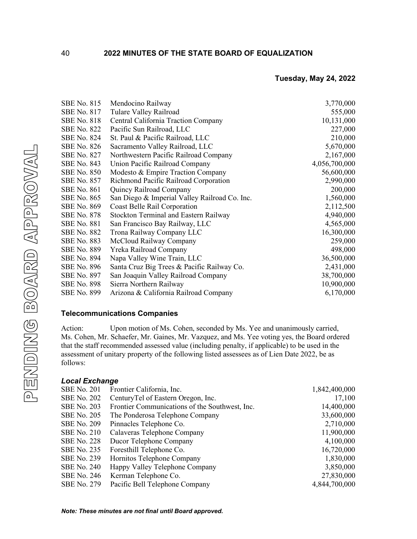| <b>SBE No. 815</b> | Mendocino Railway                             | 3,770,000     |
|--------------------|-----------------------------------------------|---------------|
| <b>SBE No. 817</b> | Tulare Valley Railroad                        | 555,000       |
| <b>SBE No. 818</b> | Central California Traction Company           | 10,131,000    |
| <b>SBE No. 822</b> | Pacific Sun Railroad, LLC                     | 227,000       |
| <b>SBE No. 824</b> | St. Paul & Pacific Railroad, LLC              | 210,000       |
| <b>SBE No. 826</b> | Sacramento Valley Railroad, LLC               | 5,670,000     |
| <b>SBE No. 827</b> | Northwestern Pacific Railroad Company         | 2,167,000     |
| <b>SBE No. 843</b> | Union Pacific Railroad Company                | 4,056,700,000 |
| <b>SBE No. 850</b> | Modesto & Empire Traction Company             | 56,600,000    |
| <b>SBE No. 857</b> | Richmond Pacific Railroad Corporation         | 2,990,000     |
| <b>SBE No. 861</b> | Quincy Railroad Company                       | 200,000       |
| <b>SBE No. 865</b> | San Diego & Imperial Valley Railroad Co. Inc. | 1,560,000     |
| <b>SBE No. 869</b> | Coast Belle Rail Corporation                  | 2,112,500     |
| <b>SBE No. 878</b> | Stockton Terminal and Eastern Railway         | 4,940,000     |
| <b>SBE No. 881</b> | San Francisco Bay Railway, LLC                | 4,565,000     |
| <b>SBE No. 882</b> | Trona Railway Company LLC                     | 16,300,000    |
| <b>SBE No. 883</b> | McCloud Railway Company                       | 259,000       |
| <b>SBE No. 889</b> | Yreka Railroad Company                        | 498,000       |
| <b>SBE No. 894</b> | Napa Valley Wine Train, LLC                   | 36,500,000    |
| <b>SBE No. 896</b> | Santa Cruz Big Trees & Pacific Railway Co.    | 2,431,000     |
| <b>SBE No. 897</b> | San Joaquin Valley Railroad Company           | 38,700,000    |
| <b>SBE No. 898</b> | Sierra Northern Railway                       | 10,900,000    |
| <b>SBE No. 899</b> | Arizona & California Railroad Company         | 6,170,000     |

# **Telecommunications Companies**

Action: Upon motion of Ms. Cohen, seconded by Ms. Yee and unanimously carried, Ms. Cohen, Mr. Schaefer, Mr. Gaines, Mr. Vazquez, and Ms. Yee voting yes, the Board ordered that the staff recommended assessed value (including penalty, if applicable) to be used in the assessment of unitary property of the following listed assessees as of Lien Date 2022, be as follows:

# *Local Exchange*

| <b>SBE No. 201</b> | Frontier California, Inc.                      | 1,842,400,000 |
|--------------------|------------------------------------------------|---------------|
| <b>SBE No. 202</b> | CenturyTel of Eastern Oregon, Inc.             | 17,100        |
| <b>SBE No. 203</b> | Frontier Communications of the Southwest, Inc. | 14,400,000    |
| <b>SBE No. 205</b> | The Ponderosa Telephone Company                | 33,600,000    |
| <b>SBE No. 209</b> | Pinnacles Telephone Co.                        | 2,710,000     |
| <b>SBE No. 210</b> | Calaveras Telephone Company                    | 11,900,000    |
| <b>SBE No. 228</b> | Ducor Telephone Company                        | 4,100,000     |
| <b>SBE No. 235</b> | Foresthill Telephone Co.                       | 16,720,000    |
| <b>SBE No. 239</b> | Hornitos Telephone Company                     | 1,830,000     |
| <b>SBE No. 240</b> | Happy Valley Telephone Company                 | 3,850,000     |
| <b>SBE No. 246</b> | Kerman Telephone Co.                           | 27,830,000    |
| <b>SBE</b> No. 279 | Pacific Bell Telephone Company                 | 4,844,700,000 |

40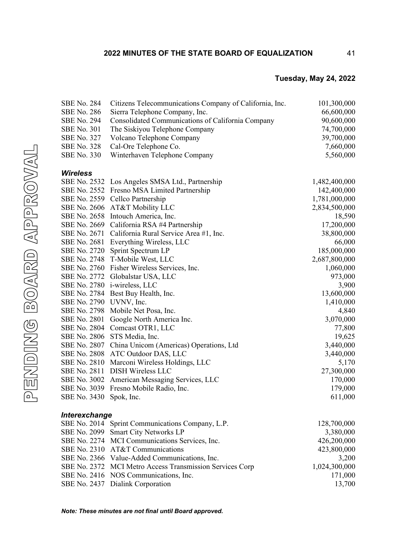# **2022 MINUTES OF THE STATE BOARD OF EQUALIZATION**

# **Tuesday, May 24, 2022**

41

| <b>SBE No. 284</b>      | Citizens Telecommunications Company of California, Inc.  | 101,300,000   |
|-------------------------|----------------------------------------------------------|---------------|
| <b>SBE No. 286</b>      | Sierra Telephone Company, Inc.                           | 66,600,000    |
| <b>SBE No. 294</b>      | Consolidated Communications of California Company        | 90,600,000    |
| <b>SBE No. 301</b>      | The Siskiyou Telephone Company                           | 74,700,000    |
| <b>SBE No. 327</b>      | Volcano Telephone Company                                | 39,700,000    |
| <b>SBE No. 328</b>      | Cal-Ore Telephone Co.                                    | 7,660,000     |
| <b>SBE No. 330</b>      | Winterhaven Telephone Company                            | 5,560,000     |
| <b>Wireless</b>         |                                                          |               |
|                         | SBE No. 2532 Los Angeles SMSA Ltd., Partnership          | 1,482,400,000 |
|                         | SBE No. 2552 Fresno MSA Limited Partnership              | 142,400,000   |
|                         | SBE No. 2559 Cellco Partnership                          | 1,781,000,000 |
|                         | SBE No. 2606 AT&T Mobility LLC                           | 2,834,500,000 |
|                         | SBE No. 2658 Intouch America, Inc.                       | 18,590        |
|                         | SBE No. 2669 California RSA #4 Partnership               | 17,200,000    |
|                         | SBE No. 2671 California Rural Service Area #1, Inc.      | 38,800,000    |
|                         | SBE No. 2681 Everything Wireless, LLC                    | 66,000        |
| SBE No. 2720            | Sprint Spectrum LP                                       | 185,000,000   |
| SBE No. 2748            | T-Mobile West, LLC                                       | 2,687,800,000 |
|                         | SBE No. 2760 Fisher Wireless Services, Inc.              | 1,060,000     |
| <b>SBE No. 2772</b>     | Globalstar USA, LLC                                      | 973,000       |
|                         | SBE No. 2780 i-wireless, LLC                             | 3,900         |
|                         | SBE No. 2784 Best Buy Health, Inc.                       | 13,600,000    |
| SBE No. 2790 UVNV, Inc. |                                                          | 1,410,000     |
|                         | SBE No. 2798 Mobile Net Posa, Inc.                       | 4,840         |
|                         | SBE No. 2801 Google North America Inc.                   | 3,070,000     |
|                         | SBE No. 2804 Comcast OTR1, LLC                           | 77,800        |
|                         | SBE No. 2806 STS Media, Inc.                             | 19,625        |
| SBE No. 2807            | China Unicom (Americas) Operations, Ltd                  | 3,440,000     |
| <b>SBE No. 2808</b>     | ATC Outdoor DAS, LLC                                     | 3,440,000     |
| <b>SBE No. 2810</b>     | Marconi Wireless Holdings, LLC                           | 5,170         |
| SBE No. 2811            | <b>DISH Wireless LLC</b>                                 | 27,300,000    |
| <b>SBE No. 3002</b>     | American Messaging Services, LLC                         | 170,000       |
|                         | SBE No. 3039 Fresno Mobile Radio, Inc.                   | 179,000       |
| SBE No. 3430            | Spok, Inc.                                               | 611,000       |
| Interexchange           |                                                          |               |
|                         | SBE No. 2014 Sprint Communications Company, L.P.         | 128,700,000   |
|                         | SBE No. 2099 Smart City Networks LP                      | 3,380,000     |
|                         | SBE No. 2274 MCI Communications Services, Inc.           | 426,200,000   |
|                         | SBE No. 2310 AT&T Communications                         | 423,800,000   |
|                         | SBE No. 2366 Value-Added Communications, Inc.            | 3,200         |
|                         | SBE No. 2372 MCI Metro Access Transmission Services Corp | 1,024,300,000 |
|                         | SBE No. 2416 NOS Communications, Inc.                    | 171,000       |
|                         | SBE No. 2437 Dialink Corporation                         | 13,700        |

PENDING BOARD APPROVAL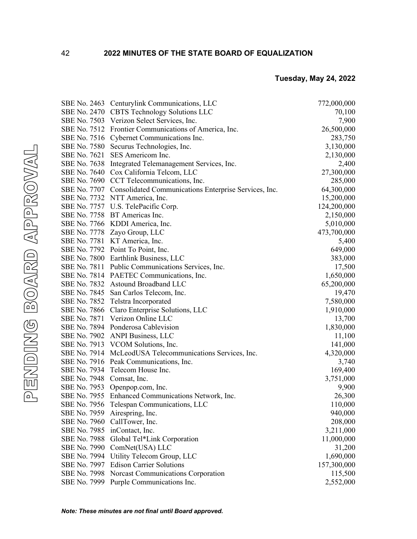|                           | SBE No. 2463 Centurylink Communications, LLC                       | 772,000,000 |
|---------------------------|--------------------------------------------------------------------|-------------|
|                           | SBE No. 2470 CBTS Technology Solutions LLC                         | 70,100      |
|                           | SBE No. 7503 Verizon Select Services, Inc.                         | 7,900       |
|                           | SBE No. 7512 Frontier Communications of America, Inc.              | 26,500,000  |
|                           | SBE No. 7516 Cybernet Communications Inc.                          | 283,750     |
|                           | SBE No. 7580 Securus Technologies, Inc.                            | 3,130,000   |
|                           | SBE No. 7621 SES Americom Inc.                                     | 2,130,000   |
|                           | SBE No. 7638 Integrated Telemanagement Services, Inc.              | 2,400       |
|                           | SBE No. 7640 Cox California Telcom, LLC                            | 27,300,000  |
|                           | SBE No. 7690 CCT Telecommunications, Inc.                          | 285,000     |
|                           | SBE No. 7707 Consolidated Communications Enterprise Services, Inc. | 64,300,000  |
|                           | SBE No. 7732 NTT America, Inc.                                     | 15,200,000  |
|                           | SBE No. 7757 U.S. TelePacific Corp.                                | 124,200,000 |
|                           | SBE No. 7758 BT Americas Inc.                                      | 2,150,000   |
|                           | SBE No. 7766 KDDI America, Inc.                                    | 5,010,000   |
|                           | SBE No. 7778 Zayo Group, LLC                                       | 473,700,000 |
|                           | SBE No. 7781 KT America, Inc.                                      | 5,400       |
|                           | SBE No. 7792 Point To Point, Inc.                                  | 649,000     |
|                           | SBE No. 7800 Earthlink Business, LLC                               | 383,000     |
|                           | SBE No. 7811 Public Communications Services, Inc.                  | 17,500      |
|                           | SBE No. 7814 PAETEC Communications, Inc.                           | 1,650,000   |
|                           | SBE No. 7832 Astound Broadband LLC                                 | 65,200,000  |
|                           | SBE No. 7845 San Carlos Telecom, Inc.                              | 19,470      |
|                           | SBE No. 7852 Telstra Incorporated                                  | 7,580,000   |
|                           | SBE No. 7866 Claro Enterprise Solutions, LLC                       | 1,910,000   |
|                           | SBE No. 7871 Verizon Online LLC                                    | 13,700      |
|                           | SBE No. 7894 Ponderosa Cablevision                                 | 1,830,000   |
|                           | SBE No. 7902 ANPI Business, LLC                                    | 11,100      |
|                           | SBE No. 7913 VCOM Solutions, Inc.                                  | 141,000     |
|                           | SBE No. 7914 McLeodUSA Telecommunications Services, Inc.           | 4,320,000   |
|                           | SBE No. 7916 Peak Communications, Inc.                             | 3,740       |
|                           | SBE No. 7934 Telecom House Inc.                                    | 169,400     |
| SBE No. 7948 Comsat, Inc. |                                                                    | 3,751,000   |
|                           | SBE No. 7953 Openpop.com, Inc.                                     | 9,900       |
|                           | SBE No. 7955 Enhanced Communications Network, Inc.                 | 26,300      |
|                           | SBE No. 7956 Telespan Communications, LLC                          | 110,000     |
|                           | SBE No. 7959 Airespring, Inc.                                      | 940,000     |
|                           | SBE No. 7960 CallTower, Inc.                                       | 208,000     |
|                           | SBE No. 7985 inContact, Inc.                                       | 3,211,000   |
| SBE No. 7988              | Global Tel*Link Corporation                                        | 11,000,000  |
| SBE No. 7990              | ComNet(USA) LLC                                                    | 31,200      |
| SBE No. 7994              | Utility Telecom Group, LLC                                         | 1,690,000   |
| SBE No. 7997              | <b>Edison Carrier Solutions</b>                                    | 157,300,000 |
|                           | SBE No. 7998 Norcast Communications Corporation                    | 115,500     |
|                           | SBE No. 7999 Purple Communications Inc.                            | 2,552,000   |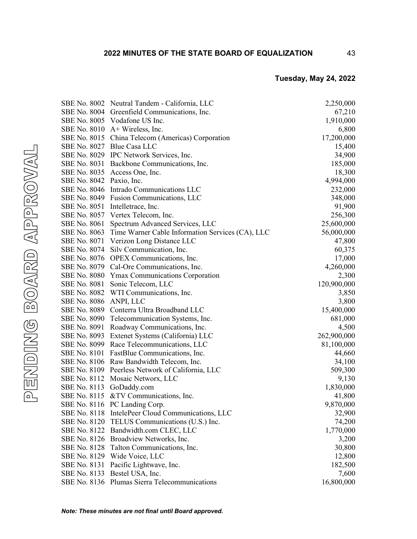|                          | SBE No. 8002 Neutral Tandem - California, LLC                 | 2,250,000   |
|--------------------------|---------------------------------------------------------------|-------------|
|                          | SBE No. 8004 Greenfield Communications, Inc.                  | 67,210      |
|                          | SBE No. 8005 Vodafone US Inc.                                 | 1,910,000   |
|                          | SBE No. 8010 A+ Wireless, Inc.                                | 6,800       |
|                          | SBE No. 8015 China Telecom (Americas) Corporation             | 17,200,000  |
|                          | SBE No. 8027 Blue Casa LLC                                    | 15,400      |
|                          | SBE No. 8029 IPC Network Services, Inc.                       | 34,900      |
|                          | SBE No. 8031 Backbone Communications, Inc.                    | 185,000     |
|                          | SBE No. 8035 Access One, Inc.                                 | 18,300      |
| SBE No. 8042 Paxio, Inc. |                                                               | 4,994,000   |
|                          | SBE No. 8046 Intrado Communications LLC                       | 232,000     |
|                          | SBE No. 8049 Fusion Communications, LLC                       | 348,000     |
|                          | SBE No. 8051 Intelletrace, Inc.                               | 91,900      |
|                          | SBE No. 8057 Vertex Telecom, Inc.                             | 256,300     |
| SBE No. 8061             | Spectrum Advanced Services, LLC                               | 25,600,000  |
|                          | SBE No. 8063 Time Warner Cable Information Services (CA), LLC | 56,000,000  |
|                          | SBE No. 8071 Verizon Long Distance LLC                        | 47,800      |
|                          | SBE No. 8074 Silv Communication, Inc.                         | 60,375      |
|                          | SBE No. 8076 OPEX Communications, Inc.                        | 17,000      |
|                          | SBE No. 8079 Cal-Ore Communications, Inc.                     | 4,260,000   |
|                          | SBE No. 8080 Ymax Communications Corporation                  | 2,300       |
|                          | SBE No. 8081 Sonic Telecom, LLC                               | 120,900,000 |
|                          | SBE No. 8082 WTI Communications, Inc.                         | 3,850       |
| SBE No. 8086             | ANPI, LLC                                                     | 3,800       |
|                          | SBE No. 8089 Conterra Ultra Broadband LLC                     | 15,400,000  |
|                          | SBE No. 8090 Telecommunication Systems, Inc.                  | 681,000     |
|                          | SBE No. 8091 Roadway Communications, Inc.                     | 4,500       |
|                          | SBE No. 8093 Extenet Systems (California) LLC                 | 262,900,000 |
|                          | SBE No. 8099 Race Telecommunications, LLC                     | 81,100,000  |
|                          | SBE No. 8101 FastBlue Communications, Inc.                    | 44,660      |
|                          | SBE No. 8106 Raw Bandwidth Telecom, Inc.                      | 34,100      |
|                          | SBE No. 8109 Peerless Network of California, LLC              | 509,300     |
|                          | SBE No. 8112 Mosaic Networx, LLC                              | 9,130       |
|                          | SBE No. 8113 GoDaddy.com                                      | 1,830,000   |
|                          | SBE No. 8115 & TV Communications, Inc.                        | 41,800      |
|                          | SBE No. 8116 PC Landing Corp.                                 | 9,870,000   |
|                          | SBE No. 8118 IntelePeer Cloud Communications, LLC             | 32,900      |
|                          | SBE No. 8120 TELUS Communications (U.S.) Inc.                 | 74,200      |
|                          | SBE No. 8122 Bandwidth.com CLEC, LLC                          | 1,770,000   |
|                          | SBE No. 8126 Broadview Networks, Inc.                         | 3,200       |
|                          | SBE No. 8128 Talton Communications, Inc.                      | 30,800      |
|                          | SBE No. 8129 Wide Voice, LLC                                  | 12,800      |
| SBE No. 8131             | Pacific Lightwave, Inc.                                       | 182,500     |
| SBE No. 8133             | Bestel USA, Inc.                                              | 7,600       |
|                          | SBE No. 8136 Plumas Sierra Telecommunications                 | 16,800,000  |

43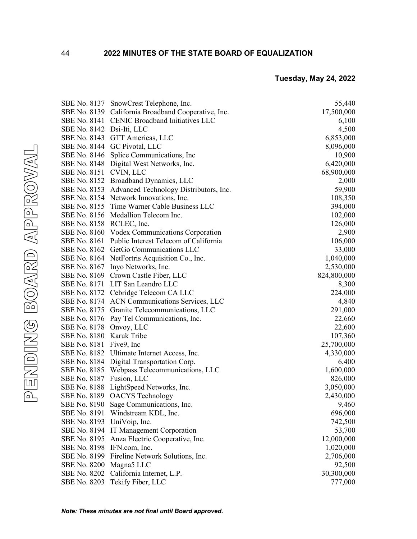|                            | SBE No. 8137 SnowCrest Telephone, Inc.              | 55,440      |
|----------------------------|-----------------------------------------------------|-------------|
|                            | SBE No. 8139 California Broadband Cooperative, Inc. | 17,500,000  |
|                            | SBE No. 8141 CENIC Broadband Initiatives LLC        | 6,100       |
| SBE No. 8142 Dsi-Iti, LLC  |                                                     | 4,500       |
|                            | SBE No. 8143 GTT Americas, LLC                      | 6,853,000   |
|                            | SBE No. 8144 GC Pivotal, LLC                        | 8,096,000   |
|                            | SBE No. 8146 Splice Communications, Inc.            | 10,900      |
|                            | SBE No. 8148 Digital West Networks, Inc.            | 6,420,000   |
| SBE No. 8151 CVIN, LLC     |                                                     | 68,900,000  |
|                            | SBE No. 8152 Broadband Dynamics, LLC                | 2,000       |
|                            | SBE No. 8153 Advanced Technology Distributors, Inc. | 59,900      |
|                            | SBE No. 8154 Network Innovations, Inc.              | 108,350     |
|                            | SBE No. 8155 Time Warner Cable Business LLC         | 394,000     |
|                            | SBE No. 8156 Medallion Telecom Inc.                 | 102,000     |
| SBE No. 8158 RCLEC, Inc.   |                                                     | 126,000     |
|                            | SBE No. 8160 Vodex Communications Corporation       | 2,900       |
|                            | SBE No. 8161 Public Interest Telecom of California  | 106,000     |
|                            | SBE No. 8162 GetGo Communications LLC               | 33,000      |
|                            | SBE No. 8164 NetFortris Acquisition Co., Inc.       | 1,040,000   |
|                            | SBE No. 8167 Inyo Networks, Inc.                    | 2,530,000   |
|                            | SBE No. 8169 Crown Castle Fiber, LLC                | 824,800,000 |
|                            | SBE No. 8171 LIT San Leandro LLC                    | 8,300       |
|                            | SBE No. 8172 Cebridge Telecom CA LLC                | 224,000     |
|                            | SBE No. 8174 ACN Communications Services, LLC       | 4,840       |
|                            | SBE No. 8175 Granite Telecommunications, LLC        | 291,000     |
|                            | SBE No. 8176 Pay Tel Communications, Inc.           | 22,660      |
| SBE No. 8178 Onvoy, LLC    |                                                     | 22,600      |
| SBE No. 8180 Karuk Tribe   |                                                     | 107,360     |
| SBE No. 8181 Five9, Inc    |                                                     | 25,700,000  |
|                            | SBE No. 8182 Ultimate Internet Access, Inc.         | 4,330,000   |
|                            | SBE No. 8184 Digital Transportation Corp.           | 6,400       |
|                            | SBE No. 8185 Webpass Telecommunications, LLC        | 1,600,000   |
| SBE No. 8187 Fusion, LLC   |                                                     | 826,000     |
|                            | SBE No. 8188 LightSpeed Networks, Inc.              | 3,050,000   |
|                            | SBE No. 8189 OACYS Technology                       | 2,430,000   |
|                            | SBE No. 8190 Sage Communications, Inc.              | 9,460       |
|                            | SBE No. 8191 Windstream KDL, Inc.                   | 696,000     |
| SBE No. 8193 UniVoip, Inc. |                                                     | 742,500     |
|                            | SBE No. 8194 IT Management Corporation              | 53,700      |
|                            | SBE No. 8195 Anza Electric Cooperative, Inc.        | 12,000,000  |
| SBE No. 8198 IFN.com, Inc. |                                                     | 1,020,000   |
| SBE No. 8199               | Fireline Network Solutions, Inc.                    | 2,706,000   |
| <b>SBE No. 8200</b>        | Magna <sub>5</sub> LLC                              | 92,500      |
| <b>SBE No. 8202</b>        | California Internet, L.P.                           | 30,300,000  |
| SBE No. 8203               | Tekify Fiber, LLC                                   | 777,000     |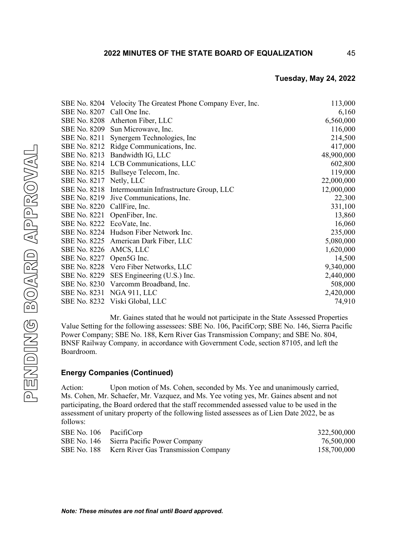|                             | SBE No. 8204 Velocity The Greatest Phone Company Ever, Inc. | 113,000    |
|-----------------------------|-------------------------------------------------------------|------------|
| SBE No. 8207 Call One Inc.  |                                                             | 6,160      |
|                             | SBE No. 8208 Atherton Fiber, LLC                            | 6,560,000  |
|                             | SBE No. 8209 Sun Microwave, Inc.                            | 116,000    |
|                             | SBE No. 8211 Synergem Technologies, Inc.                    | 214,500    |
|                             | SBE No. 8212 Ridge Communications, Inc.                     | 417,000    |
|                             | SBE No. 8213 Bandwidth IG, LLC                              | 48,900,000 |
|                             | SBE No. 8214 LCB Communications, LLC                        | 602,800    |
|                             | SBE No. 8215 Bullseye Telecom, Inc.                         | 119,000    |
| SBE No. 8217 Netly, LLC     |                                                             | 22,000,000 |
|                             | SBE No. 8218 Intermountain Infrastructure Group, LLC        | 12,000,000 |
|                             | SBE No. 8219 Jive Communications, Inc.                      | 22,300     |
| SBE No. 8220 CallFire, Inc. |                                                             | 331,100    |
|                             | SBE No. 8221 OpenFiber, Inc.                                | 13,860     |
| SBE No. 8222 EcoVate, Inc.  |                                                             | 16,060     |
|                             | SBE No. 8224 Hudson Fiber Network Inc.                      | 235,000    |
|                             | SBE No. 8225 American Dark Fiber, LLC                       | 5,080,000  |
| SBE No. 8226 AMCS, LLC      |                                                             | 1,620,000  |
| SBE No. 8227 Open5G Inc.    |                                                             | 14,500     |
|                             | SBE No. 8228 Vero Fiber Networks, LLC                       | 9,340,000  |
|                             | SBE No. 8229 SES Engineering (U.S.) Inc.                    | 2,440,000  |
|                             | SBE No. 8230 Varcomm Broadband, Inc.                        | 508,000    |
|                             | SBE No. 8231 NGA 911, LLC                                   | 2,420,000  |
|                             | SBE No. 8232 Viski Global, LLC                              | 74,910     |

45

Mr. Gaines stated that he would not participate in the State Assessed Properties Value Setting for the following assessees: SBE No. 106, PacifiCorp; SBE No. 146, Sierra Pacific Power Company; SBE No. 188, Kern River Gas Transmission Company; and SBE No. 804, BNSF Railway Company*,* in accordance with Government Code, section 87105, and left the Boardroom.

# **Energy Companies (Continued)**

Action: Upon motion of Ms. Cohen, seconded by Ms. Yee and unanimously carried, Ms. Cohen, Mr. Schaefer, Mr. Vazquez, and Ms. Yee voting yes, Mr. Gaines absent and not participating, the Board ordered that the staff recommended assessed value to be used in the assessment of unitary property of the following listed assessees as of Lien Date 2022, be as follows:

| SBE No. 106 PacifiCorp |                                                 | 322,500,000 |
|------------------------|-------------------------------------------------|-------------|
|                        | SBE No. 146 Sierra Pacific Power Company        | 76,500,000  |
|                        | SBE No. 188 Kern River Gas Transmission Company | 158,700,000 |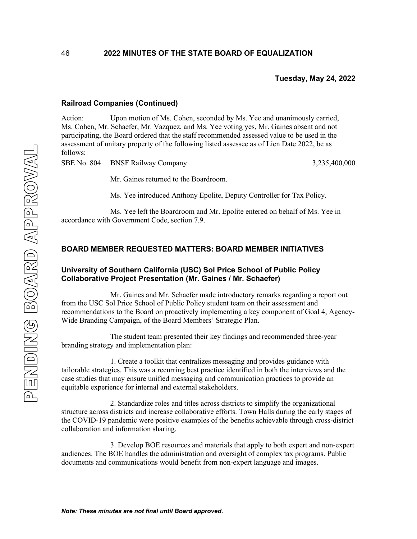# **Railroad Companies (Continued)**

46

Action: Upon motion of Ms. Cohen, seconded by Ms. Yee and unanimously carried, Ms. Cohen, Mr. Schaefer, Mr. Vazquez, and Ms. Yee voting yes, Mr. Gaines absent and not participating, the Board ordered that the staff recommended assessed value to be used in the assessment of unitary property of the following listed assessee as of Lien Date 2022, be as follows:

SBE No. 804 BNSF Railway Company 3,235,400,000

Mr. Gaines returned to the Boardroom.

Ms. Yee introduced Anthony Epolite, Deputy Controller for Tax Policy.

Ms. Yee left the Boardroom and Mr. Epolite entered on behalf of Ms. Yee in accordance with Government Code, section 7.9.

# **BOARD MEMBER REQUESTED MATTERS: BOARD MEMBER INITIATIVES**

# **University of Southern California (USC) Sol Price School of Public Policy Collaborative Project Presentation (Mr. Gaines / Mr. Schaefer)**

Mr. Gaines and Mr. Schaefer made introductory remarks regarding a report out from the USC Sol Price School of Public Policy student team on their assessment and recommendations to the Board on proactively implementing a key component of Goal 4, Agency-Wide Branding Campaign, of the Board Members' Strategic Plan.

The student team presented their key findings and recommended three-year branding strategy and implementation plan:

1. Create a toolkit that centralizes messaging and provides guidance with tailorable strategies. This was a recurring best practice identified in both the interviews and the case studies that may ensure unified messaging and communication practices to provide an equitable experience for internal and external stakeholders.

2. Standardize roles and titles across districts to simplify the organizational structure across districts and increase collaborative efforts. Town Halls during the early stages of the COVID-19 pandemic were positive examples of the benefits achievable through cross-district collaboration and information sharing.

3. Develop BOE resources and materials that apply to both expert and non-expert audiences. The BOE handles the administration and oversight of complex tax programs. Public documents and communications would benefit from non-expert language and images.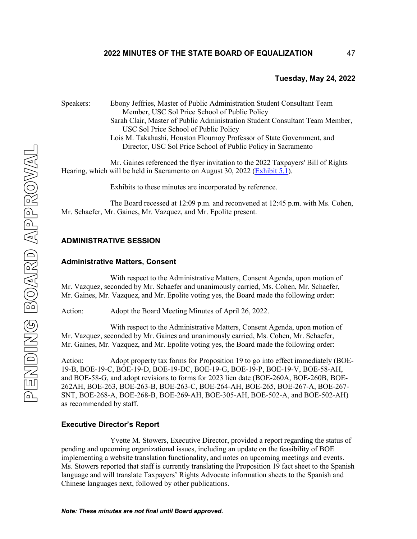# **2022 MINUTES OF THE STATE BOARD OF EQUALIZATION**

#### **Tuesday, May 24, 2022**

Speakers: Ebony Jeffries, Master of Public Administration Student Consultant Team Member, USC Sol Price School of Public Policy Sarah Clair, Master of Public Administration Student Consultant Team Member, USC Sol Price School of Public Policy Lois M. Takahashi, Houston Flournoy Professor of State Government, and Director, USC Sol Price School of Public Policy in Sacramento Mr. Gaines referenced the flyer invitation to the 2022 Taxpayers' Bill of Rights Hearing, which will be held in Sacramento on August 30, 2022 [\(Exhibit 5.1\)](https://www.boe.ca.gov/meetings/pdf/2022/052422-L2a-pub317-BOE.PDF). Exhibits to these minutes are incorporated by reference. The Board recessed at 12:09 p.m. and reconvened at 12:45 p.m. with Ms. Cohen, Mr. Schaefer, Mr. Gaines, Mr. Vazquez, and Mr. Epolite present. **ADMINISTRATIVE SESSION Administrative Matters, Consent** With respect to the Administrative Matters, Consent Agenda, upon motion of Mr. Vazquez, seconded by Mr. Schaefer and unanimously carried, Ms. Cohen, Mr. Schaefer, Mr. Gaines, Mr. Vazquez, and Mr. Epolite voting yes, the Board made the following order: Action: Adopt the Board Meeting Minutes of April 26, 2022. With respect to the Administrative Matters, Consent Agenda, upon motion of Mr. Vazquez, seconded by Mr. Gaines and unanimously carried, Ms. Cohen, Mr. Schaefer, Mr. Gaines, Mr. Vazquez, and Mr. Epolite voting yes, the Board made the following order:

Action: Adopt property tax forms for Proposition 19 to go into effect immediately (BOE-19-B, BOE-19-C, BOE-19-D, BOE-19-DC, BOE-19-G, BOE-19-P, BOE-19-V, BOE-58-AH, and BOE-58-G, and adopt revisions to forms for 2023 lien date (BOE-260A, BOE-260B, BOE-262AH, BOE-263, BOE-263-B, BOE-263-C, BOE-264-AH, BOE-265, BOE-267-A, BOE-267- SNT, BOE-268-A, BOE-268-B, BOE-269-AH, BOE-305-AH, BOE-502-A, and BOE-502-AH) as recommended by staff.

### **Executive Director's Report**

Yvette M. Stowers, Executive Director, provided a report regarding the status of pending and upcoming organizational issues, including an update on the feasibility of BOE implementing a website translation functionality, and notes on upcoming meetings and events. Ms. Stowers reported that staff is currently translating the Proposition 19 fact sheet to the Spanish language and will translate Taxpayers' Rights Advocate information sheets to the Spanish and Chinese languages next, followed by other publications.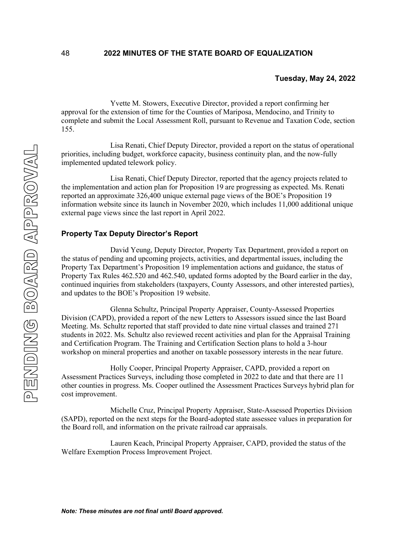Yvette M. Stowers, Executive Director, provided a report confirming her approval for the extension of time for the Counties of Mariposa, Mendocino, and Trinity to complete and submit the Local Assessment Roll, pursuant to Revenue and Taxation Code, section 155.

Lisa Renati, Chief Deputy Director, provided a report on the status of operational priorities, including budget, workforce capacity, business continuity plan, and the now-fully implemented updated telework policy.

Lisa Renati, Chief Deputy Director, reported that the agency projects related to the implementation and action plan for Proposition 19 are progressing as expected. Ms. Renati reported an approximate 326,400 unique external page views of the BOE's Proposition 19 information website since its launch in November 2020, which includes 11,000 additional unique external page views since the last report in April 2022.

### **Property Tax Deputy Director's Report**

David Yeung, Deputy Director, Property Tax Department, provided a report on the status of pending and upcoming projects, activities, and departmental issues, including the Property Tax Department's Proposition 19 implementation actions and guidance, the status of Property Tax Rules 462.520 and 462.540, updated forms adopted by the Board earlier in the day, continued inquiries from stakeholders (taxpayers, County Assessors, and other interested parties), and updates to the BOE's Proposition 19 website.

Glenna Schultz, Principal Property Appraiser, County-Assessed Properties Division (CAPD), provided a report of the new Letters to Assessors issued since the last Board Meeting. Ms. Schultz reported that staff provided to date nine virtual classes and trained 271 students in 2022. Ms. Schultz also reviewed recent activities and plan for the Appraisal Training and Certification Program. The Training and Certification Section plans to hold a 3-hour workshop on mineral properties and another on taxable possessory interests in the near future.

Holly Cooper, Principal Property Appraiser, CAPD, provided a report on Assessment Practices Surveys, including those completed in 2022 to date and that there are 11 other counties in progress. Ms. Cooper outlined the Assessment Practices Surveys hybrid plan for cost improvement.

Michelle Cruz, Principal Property Appraiser, State-Assessed Properties Division (SAPD), reported on the next steps for the Board-adopted state assessee values in preparation for the Board roll, and information on the private railroad car appraisals.

Lauren Keach, Principal Property Appraiser, CAPD, provided the status of the Welfare Exemption Process Improvement Project.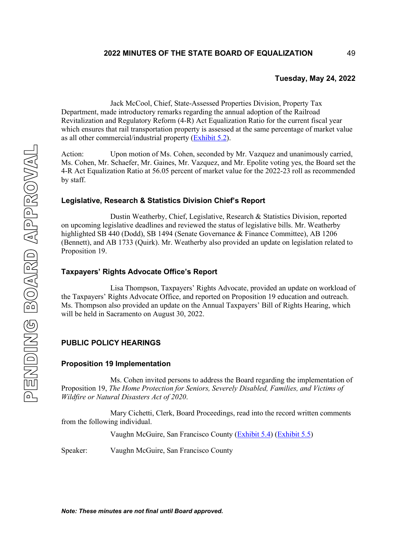Jack McCool, Chief, State-Assessed Properties Division, Property Tax Department, made introductory remarks regarding the annual adoption of the Railroad Revitalization and Regulatory Reform (4-R) Act Equalization Ratio for the current fiscal year which ensures that rail transportation property is assessed at the same percentage of market value as all other commercial/industrial property (**Exhibit 5.2**).

Action: Upon motion of Ms. Cohen, seconded by Mr. Vazquez and unanimously carried, Ms. Cohen, Mr. Schaefer, Mr. Gaines, Mr. Vazquez, and Mr. Epolite voting yes, the Board set the 4-R Act Equalization Ratio at 56.05 percent of market value for the 2022-23 roll as recommended by staff.

# **Legislative, Research & Statistics Division Chief's Report**

Dustin Weatherby, Chief, Legislative, Research & Statistics Division, reported on upcoming legislative deadlines and reviewed the status of legislative bills. Mr. Weatherby highlighted SB 440 (Dodd), SB 1494 (Senate Governance & Finance Committee), AB 1206 (Bennett), and AB 1733 (Quirk). Mr. Weatherby also provided an update on legislation related to Proposition 19.

## **Taxpayers' Rights Advocate Office's Report**

Lisa Thompson, Taxpayers' Rights Advocate, provided an update on workload of the Taxpayers' Rights Advocate Office, and reported on Proposition 19 education and outreach. Ms. Thompson also provided an update on the Annual Taxpayers' Bill of Rights Hearing, which will be held in Sacramento on August 30, 2022.

# **PUBLIC POLICY HEARINGS**

#### **Proposition 19 Implementation**

Ms. Cohen invited persons to address the Board regarding the implementation of Proposition 19, *The Home Protection for Seniors, Severely Disabled, Families, and Victims of Wildfire or Natural Disasters Act of 2020*.

Mary Cichetti, Clerk, Board Proceedings, read into the record written comments from the following individual.

Vaughn McGuire, San Francisco County [\(Exhibit 5.4\)](https://boe.ca.gov/meetings/pdf/2022/052422-M1-PubComm-McGuire1.pdf) [\(Exhibit 5.5\)](https://boe.ca.gov/meetings/pdf/2022/052422-M1-PubComm-McGuire2.pdf)

Speaker: Vaughn McGuire, San Francisco County